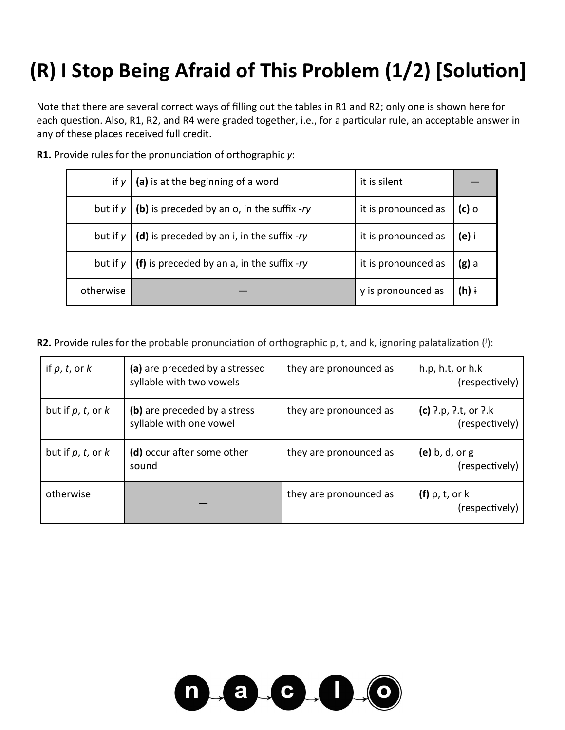# **(R) I Stop Being Afraid of This Problem (1/2) [Solution]**

Note that there are several correct ways of filling out the tables in R1 and R2; only one is shown here for each question. Also, R1, R2, and R4 were graded together, i.e., for a particular rule, an acceptable answer in any of these places received full credit.

| if $y$    | (a) is at the beginning of a word                          | it is silent        |                  |
|-----------|------------------------------------------------------------|---------------------|------------------|
|           | but if $y \mid (b)$ is preceded by an o, in the suffix -ry | it is pronounced as | $(c)$ o          |
|           | but if $y \mid (d)$ is preceded by an i, in the suffix -ry | it is pronounced as | (e) i            |
|           | but if $y \mid (f)$ is preceded by an a, in the suffix -ry | it is pronounced as | $(g)$ a          |
| otherwise |                                                            | y is pronounced as  | (h) $\mathsf{i}$ |

**R1.** Provide rules for the pronunciation of orthographic *y*:

**R2.** Provide rules for the probable pronunciation of orthographic p, t, and k, ignoring palatalization (i):

| if $p, t,$ or $k$      | (a) are preceded by a stressed<br>syllable with two vowels | they are pronounced as | h.p, h.t, or h.k<br>(respectively)           |
|------------------------|------------------------------------------------------------|------------------------|----------------------------------------------|
| but if $p, t$ , or $k$ | (b) are preceded by a stress<br>syllable with one vowel    | they are pronounced as | (c) $2. p, 2. t, 0r, 2. k$<br>(respectively) |
| but if $p, t,$ or $k$  | (d) occur after some other<br>sound                        | they are pronounced as | (e) $b, d, or g$<br>(respectively)           |
| otherwise              |                                                            | they are pronounced as | $(f)$ p, t, or k<br>(respectively)           |